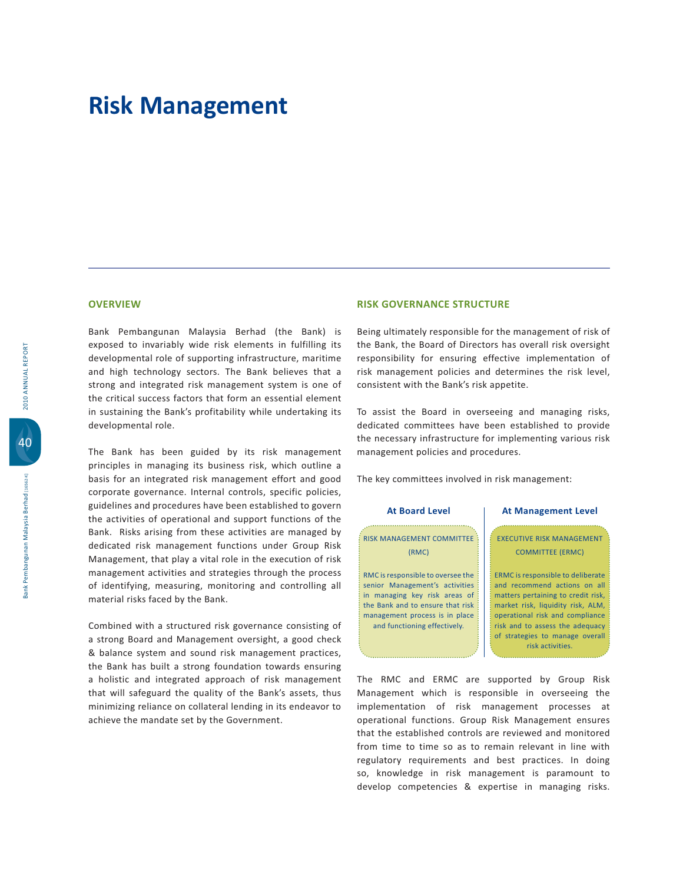### **OVERVIEW**

Bank Pembangunan Malaysia Berhad (the Bank) is exposed to invariably wide risk elements in fulfilling its developmental role of supporting infrastructure, maritime and high technology sectors. The Bank believes that a strong and integrated risk management system is one of the critical success factors that form an essential element in sustaining the Bank's profitability while undertaking its developmental role.

The Bank has been guided by its risk management principles in managing its business risk, which outline a basis for an integrated risk management effort and good corporate governance. Internal controls, specific policies, guidelines and procedures have been established to govern the activities of operational and support functions of the Bank. Risks arising from these activities are managed by dedicated risk management functions under Group Risk Management, that play a vital role in the execution of risk management activities and strategies through the process of identifying, measuring, monitoring and controlling all material risks faced by the Bank.

Combined with a structured risk governance consisting of a strong Board and Management oversight, a good check & balance system and sound risk management practices, the Bank has built a strong foundation towards ensuring a holistic and integrated approach of risk management that will safeguard the quality of the Bank's assets, thus minimizing reliance on collateral lending in its endeavor to achieve the mandate set by the Government.

### **RISK GOVERNANCE STRUCTURE**

Being ultimately responsible for the management of risk of the Bank, the Board of Directors has overall risk oversight responsibility for ensuring effective implementation of risk management policies and determines the risk level, consistent with the Bank's risk appetite.

To assist the Board in overseeing and managing risks, dedicated committees have been established to provide the necessary infrastructure for implementing various risk management policies and procedures.

The key committees involved in risk management:

#### **At Board Level**

### **RISK MANAGEMENT COMMITTEE**  $(RMC)$

RMC is responsible to oversee the senior Management's activities in managing key risk areas of the Bank and to ensure that risk management process is in place and functioning effectively.

#### **At Management Level**

**EXECUTIVE RISK MANAGEMENT** COMMITTEE (ERMC)

ERMC is responsible to deliberate and recommend actions on all matters pertaining to credit risk, market risk, liquidity risk, ALM, operational risk and compliance risk and to assess the adequacy of strategies to manage overall risk activities.

The RMC and ERMC are supported by Group Risk Management which is responsible in overseeing the implementation of risk management processes at operational functions. Group Risk Management ensures that the established controls are reviewed and monitored from time to time so as to remain relevant in line with regulatory requirements and best practices. In doing so, knowledge in risk management is paramount to develop competencies & expertise in managing risks.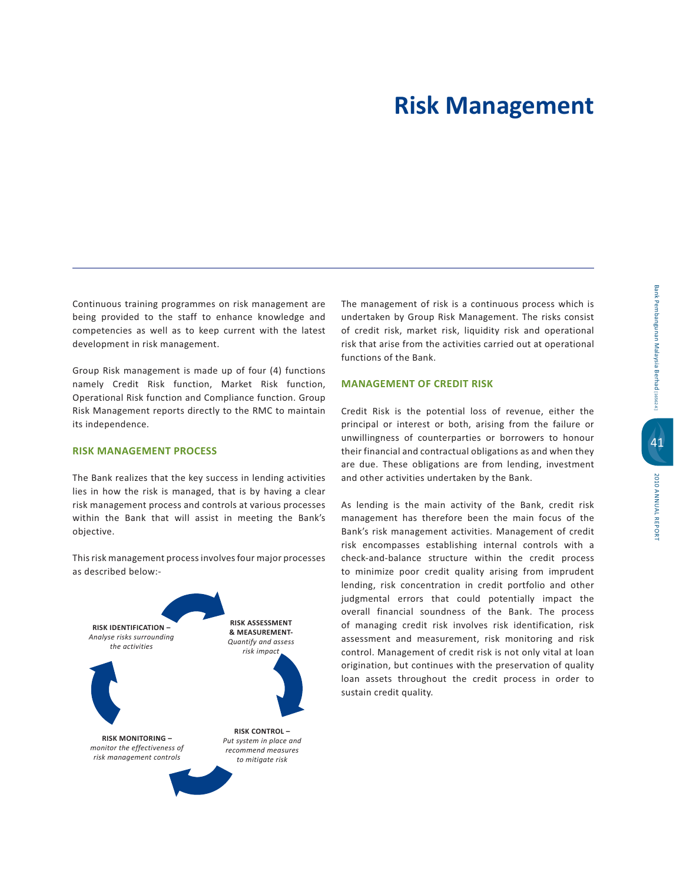Continuous training programmes on risk management are being provided to the staff to enhance knowledge and competencies as well as to keep current with the latest development in risk management.

Group Risk management is made up of four (4) functions namely Credit Risk function, Market Risk function, Operational Risk function and Compliance function. Group Risk Management reports directly to the RMC to maintain its independence.

### **RISK MANAGEMENT PROCESS**

The Bank realizes that the key success in lending activities lies in how the risk is managed, that is by having a clear risk management process and controls at various processes within the Bank that will assist in meeting the Bank's objective.

This risk management process involves four major processes as described below:-



The management of risk is a continuous process which is undertaken by Group Risk Management. The risks consist of credit risk, market risk, liquidity risk and operational risk that arise from the activities carried out at operational functions of the Bank.

### **MANAGEMENT OF CREDIT RISK**

Credit Risk is the potential loss of revenue, either the principal or interest or both, arising from the failure or unwillingness of counterparties or borrowers to honour their financial and contractual obligations as and when they are due. These obligations are from lending, investment and other activities undertaken by the Bank.

As lending is the main activity of the Bank, credit risk management has therefore been the main focus of the Bank's risk management activities. Management of credit risk encompasses establishing internal controls with a check-and-balance structure within the credit process to minimize poor credit quality arising from imprudent lending, risk concentration in credit portfolio and other judgmental errors that could potentially impact the overall financial soundness of the Bank. The process of managing credit risk involves risk identification, risk assessment and measurement, risk monitoring and risk control. Management of credit risk is not only vital at loan origination, but continues with the preservation of quality loan assets throughout the credit process in order to sustain credit quality.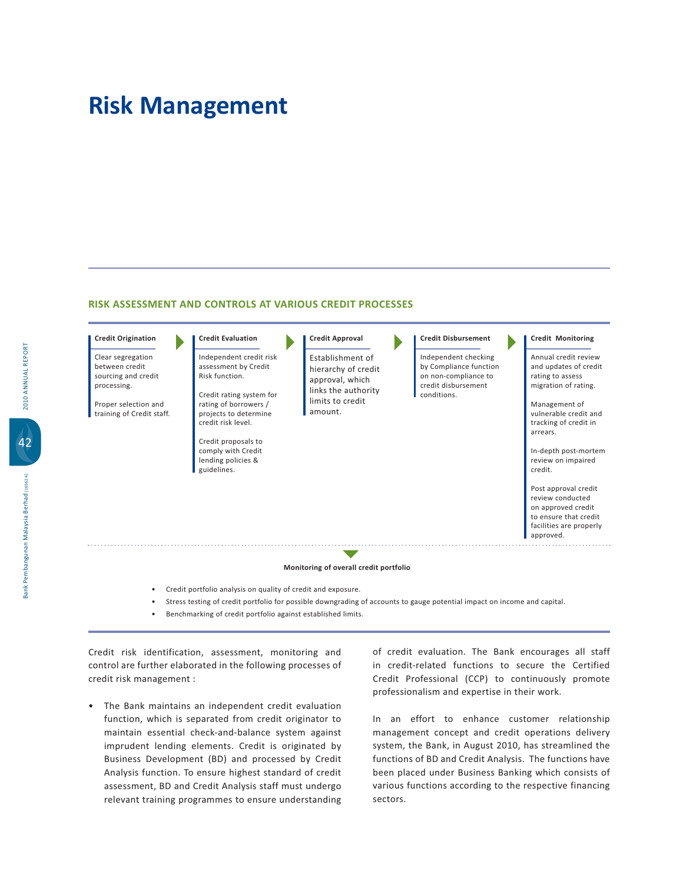#### RISK ASSESSMENT AND CONTROLS AT VARIOUS CREDIT PROCESSES

### **Credit Origination**

Clear segregation between credit sourcing and credit processing.

Proper selection and training of Credit staff.

### **Credit Evaluation**

Independent credit risk assessment by Credit Risk function. Credit rating system for rating of borrowers / projects to determine

### credit risk level. Credit proposals to

comply with Credit lending policies & guidelines.

### **Credit Approval**

Establishment of hierarchy of credit approval, which links the authority limits to credit amount.

#### **Credit Disbursement**

Independent checking by Compliance function on non-compliance to credit disbursement conditions.

#### **Credit Monitoring**

Annual credit review and updates of credit rating to assess migration of rating.

Management of vulnerable credit and tracking of credit in arrears.

In-depth post-mortem review on impaired credit.

Post approval credit review conducted on approved credit to ensure that credit facilities are properly approved.

**Monitoring of overall credit portfolio** 

- Credit portfolio analysis on quality of credit and exposure.
- Stress testing of credit portfolio for possible downgrading of accounts to gauge potential impact on income and capital.
- Benchmarking of credit portfolio against established limits.

Credit risk identification, assessment, monitoring and

- control are further elaborated in the following processes of credit risk management :
- . The Bank maintains an independent credit evaluation function, which is separated from credit originator to maintain essential check-and-balance system against imprudent lending elements. Credit is originated by Business Development (BD) and processed by Credit Analysis function. To ensure highest standard of credit assessment, BD and Credit Analysis staff must undergo relevant training programmes to ensure understanding

of credit evaluation. The Bank encourages all staff in credit-related functions to secure the Certified Credit Professional (CCP) to continuously promote professionalism and expertise in their work.

In an effort to enhance customer relationship management concept and credit operations delivery system, the Bank, in August 2010, has streamlined the functions of BD and Credit Analysis. The functions have been placed under Business Banking which consists of various functions according to the respective financing sectors.

42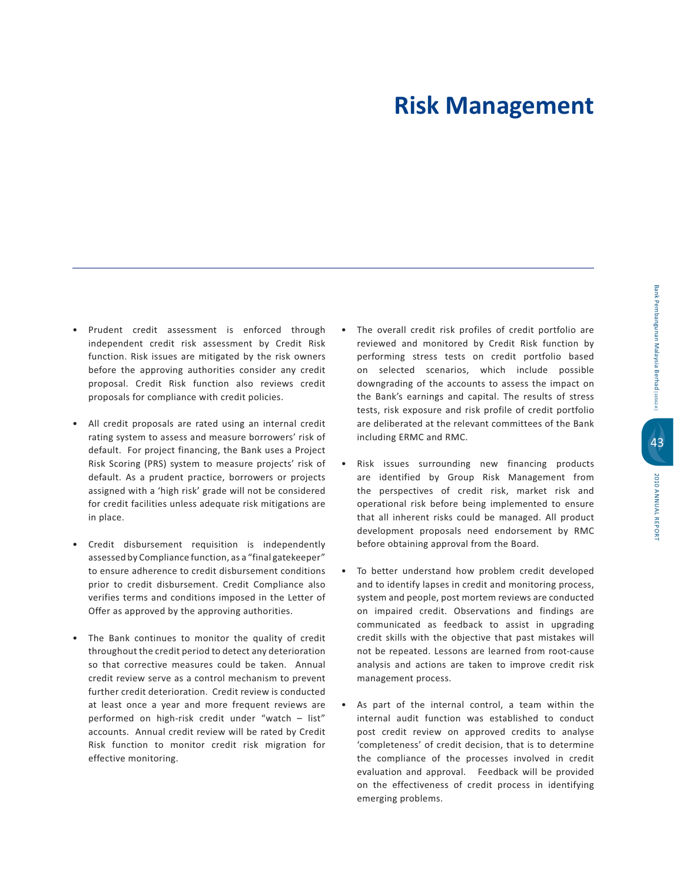- · Prudent credit assessment is enforced through independent credit risk assessment by Credit Risk function. Risk issues are mitigated by the risk owners before the approving authorities consider any credit proposal. Credit Risk function also reviews credit proposals for compliance with credit policies.
- All credit proposals are rated using an internal credit rating system to assess and measure borrowers' risk of default. For project financing, the Bank uses a Project Risk Scoring (PRS) system to measure projects' risk of default. As a prudent practice, borrowers or projects assigned with a 'high risk' grade will not be considered for credit facilities unless adequate risk mitigations are in place.
- Credit disbursement requisition is independently assessed by Compliance function, as a "final gatekeeper" to ensure adherence to credit disbursement conditions prior to credit disbursement. Credit Compliance also verifies terms and conditions imposed in the Letter of Offer as approved by the approving authorities.
- The Bank continues to monitor the quality of credit throughout the credit period to detect any deterioration so that corrective measures could be taken. Annual credit review serve as a control mechanism to prevent further credit deterioration. Credit review is conducted at least once a year and more frequent reviews are performed on high-risk credit under "watch - list" accounts. Annual credit review will be rated by Credit Risk function to monitor credit risk migration for effective monitoring.
- The overall credit risk profiles of credit portfolio are reviewed and monitored by Credit Risk function by performing stress tests on credit portfolio based on selected scenarios, which include possible downgrading of the accounts to assess the impact on the Bank's earnings and capital. The results of stress tests, risk exposure and risk profile of credit portfolio are deliberated at the relevant committees of the Bank including ERMC and RMC.
- · Risk issues surrounding new financing products are identified by Group Risk Management from the perspectives of credit risk, market risk and operational risk before being implemented to ensure that all inherent risks could be managed. All product development proposals need endorsement by RMC before obtaining approval from the Board.
- To better understand how problem credit developed and to identify lapses in credit and monitoring process, system and people, post mortem reviews are conducted on impaired credit. Observations and findings are communicated as feedback to assist in upgrading credit skills with the objective that past mistakes will not be repeated. Lessons are learned from root-cause analysis and actions are taken to improve credit risk management process.
- As part of the internal control, a team within the internal audit function was established to conduct post credit review on approved credits to analyse 'completeness' of credit decision, that is to determine the compliance of the processes involved in credit evaluation and approval. Feedback will be provided on the effectiveness of credit process in identifying emerging problems.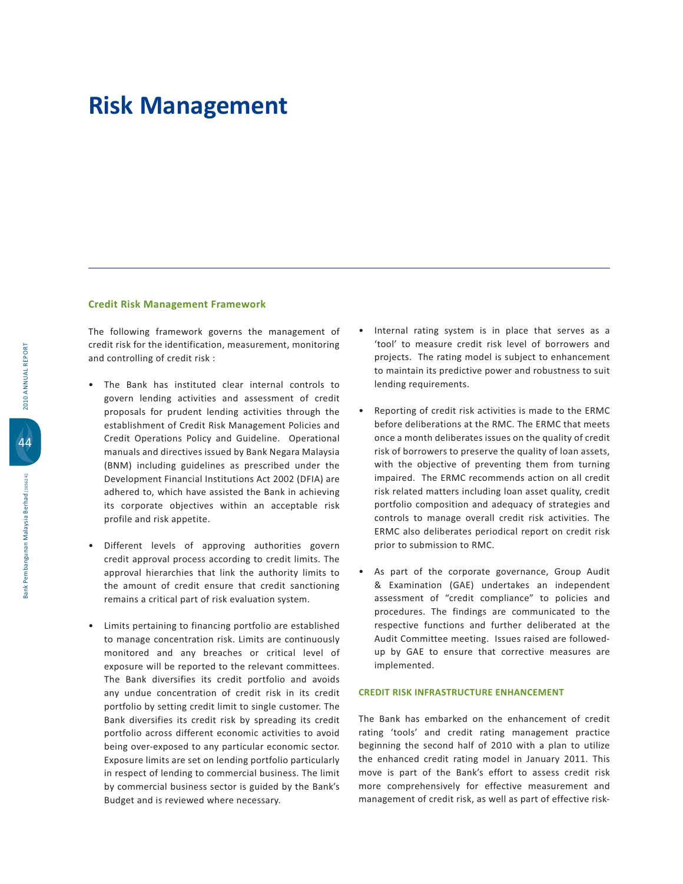#### **Credit Risk Management Framework**

The following framework governs the management of credit risk for the identification, measurement, monitoring and controlling of credit risk:

- . The Bank has instituted clear internal controls to govern lending activities and assessment of credit proposals for prudent lending activities through the establishment of Credit Risk Management Policies and Credit Operations Policy and Guideline. Operational manuals and directives issued by Bank Negara Malaysia (BNM) including guidelines as prescribed under the Development Financial Institutions Act 2002 (DFIA) are adhered to, which have assisted the Bank in achieving its corporate objectives within an acceptable risk profile and risk appetite.
- Different levels of approving authorities govern credit approval process according to credit limits. The approval hierarchies that link the authority limits to the amount of credit ensure that credit sanctioning remains a critical part of risk evaluation system.
- Limits pertaining to financing portfolio are established to manage concentration risk. Limits are continuously monitored and any breaches or critical level of exposure will be reported to the relevant committees. The Bank diversifies its credit portfolio and avoids any undue concentration of credit risk in its credit portfolio by setting credit limit to single customer. The Bank diversifies its credit risk by spreading its credit portfolio across different economic activities to avoid being over-exposed to any particular economic sector. Exposure limits are set on lending portfolio particularly in respect of lending to commercial business. The limit by commercial business sector is guided by the Bank's Budget and is reviewed where necessary.
- Internal rating system is in place that serves as a 'tool' to measure credit risk level of borrowers and projects. The rating model is subject to enhancement to maintain its predictive power and robustness to suit lending requirements.
- Reporting of credit risk activities is made to the ERMC before deliberations at the RMC. The ERMC that meets once a month deliberates issues on the quality of credit risk of borrowers to preserve the quality of loan assets, with the objective of preventing them from turning impaired. The ERMC recommends action on all credit risk related matters including loan asset quality, credit portfolio composition and adequacy of strategies and controls to manage overall credit risk activities. The ERMC also deliberates periodical report on credit risk prior to submission to RMC.
- As part of the corporate governance, Group Audit & Examination (GAE) undertakes an independent assessment of "credit compliance" to policies and procedures. The findings are communicated to the respective functions and further deliberated at the Audit Committee meeting. Issues raised are followedup by GAE to ensure that corrective measures are implemented.

#### **CREDIT RISK INFRASTRUCTURE ENHANCEMENT**

The Bank has embarked on the enhancement of credit rating 'tools' and credit rating management practice beginning the second half of 2010 with a plan to utilize the enhanced credit rating model in January 2011. This move is part of the Bank's effort to assess credit risk more comprehensively for effective measurement and management of credit risk, as well as part of effective risk-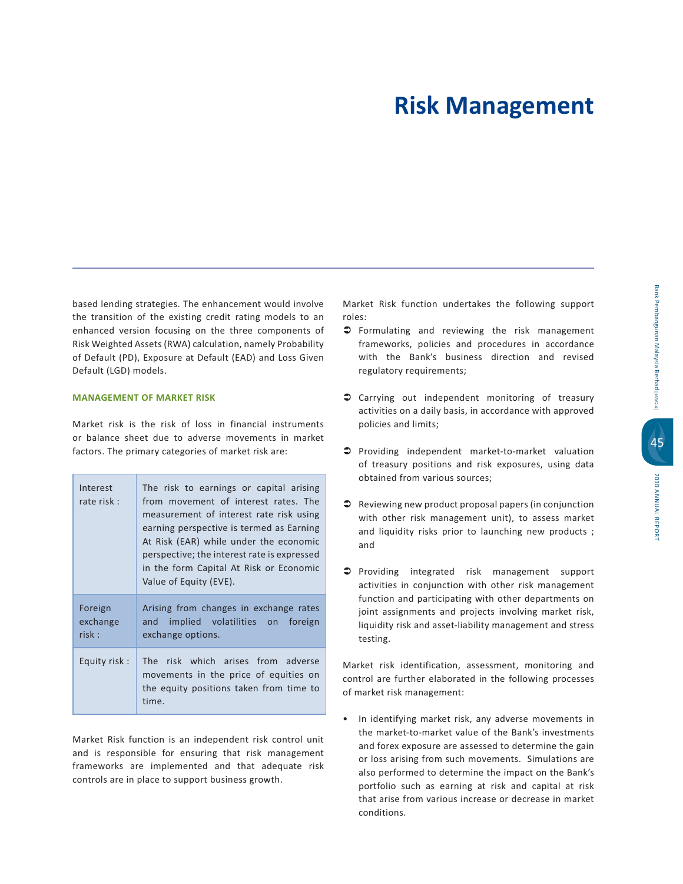based lending strategies. The enhancement would involve the transition of the existing credit rating models to an enhanced version focusing on the three components of Risk Weighted Assets (RWA) calculation, namely Probability of Default (PD), Exposure at Default (EAD) and Loss Given Default (LGD) models.

### **MANAGEMENT OF MARKET RISK**

Market risk is the risk of loss in financial instruments or balance sheet due to adverse movements in market factors. The primary categories of market risk are:

| Interest<br>rate risk :      | The risk to earnings or capital arising<br>from movement of interest rates. The<br>measurement of interest rate risk using<br>earning perspective is termed as Earning<br>At Risk (EAR) while under the economic<br>perspective; the interest rate is expressed<br>in the form Capital At Risk or Economic<br>Value of Equity (EVE). |
|------------------------------|--------------------------------------------------------------------------------------------------------------------------------------------------------------------------------------------------------------------------------------------------------------------------------------------------------------------------------------|
| Foreign<br>exchange<br>risk: | Arising from changes in exchange rates<br>and implied volatilities on foreign<br>exchange options.                                                                                                                                                                                                                                   |
| Equity risk:                 | The risk which arises from adverse<br>movements in the price of equities on<br>the equity positions taken from time to<br>time.                                                                                                                                                                                                      |

Market Risk function is an independent risk control unit and is responsible for ensuring that risk management frameworks are implemented and that adequate risk controls are in place to support business growth.

Market Risk function undertakes the following support roles:

- S Formulating and reviewing the risk management frameworks, policies and procedures in accordance with the Bank's business direction and revised regulatory requirements;
- Carrying out independent monitoring of treasury activities on a daily basis, in accordance with approved policies and limits;
- In Providing independent market-to-market valuation of treasury positions and risk exposures, using data obtained from various sources;
- Reviewing new product proposal papers (in conjunction with other risk management unit), to assess market and liquidity risks prior to launching new products ; and
- Providing integrated risk management support activities in conjunction with other risk management function and participating with other departments on joint assignments and projects involving market risk, liquidity risk and asset-liability management and stress testing.

Market risk identification, assessment, monitoring and control are further elaborated in the following processes of market risk management:

• In identifying market risk, any adverse movements in the market-to-market value of the Bank's investments and forex exposure are assessed to determine the gain or loss arising from such movements. Simulations are also performed to determine the impact on the Bank's portfolio such as earning at risk and capital at risk that arise from various increase or decrease in market conditions.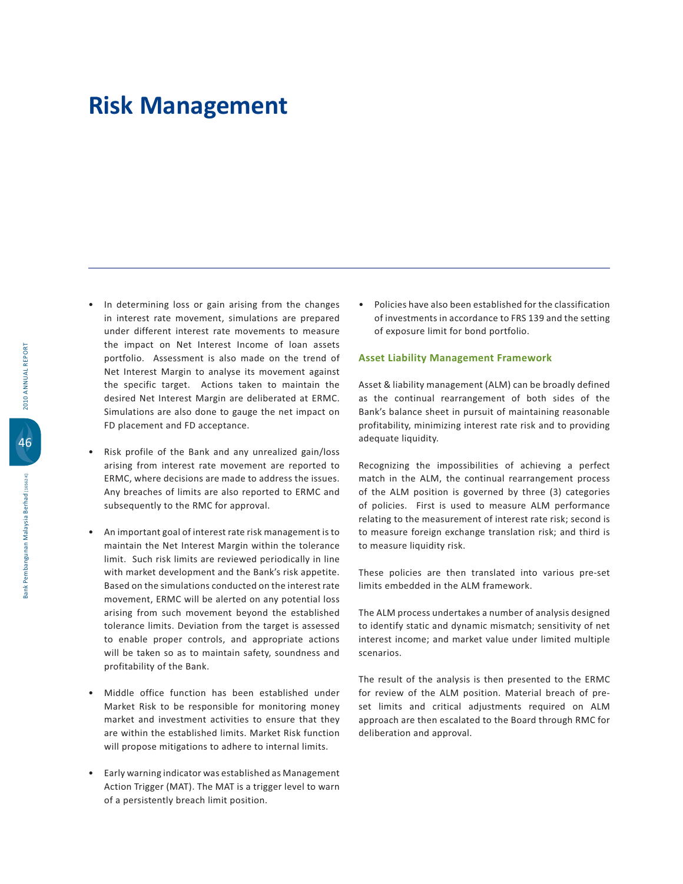- In determining loss or gain arising from the changes in interest rate movement, simulations are prepared under different interest rate movements to measure the impact on Net Interest Income of loan assets portfolio. Assessment is also made on the trend of Net Interest Margin to analyse its movement against the specific target. Actions taken to maintain the desired Net Interest Margin are deliberated at ERMC. Simulations are also done to gauge the net impact on FD placement and FD acceptance.
- Risk profile of the Bank and any unrealized gain/loss arising from interest rate movement are reported to ERMC, where decisions are made to address the issues. Any breaches of limits are also reported to ERMC and subsequently to the RMC for approval.
- An important goal of interest rate risk management is to maintain the Net Interest Margin within the tolerance limit. Such risk limits are reviewed periodically in line with market development and the Bank's risk appetite. Based on the simulations conducted on the interest rate movement, ERMC will be alerted on any potential loss arising from such movement beyond the established tolerance limits. Deviation from the target is assessed to enable proper controls, and appropriate actions will be taken so as to maintain safety, soundness and profitability of the Bank.
- · Middle office function has been established under Market Risk to be responsible for monitoring money market and investment activities to ensure that they are within the established limits. Market Risk function will propose mitigations to adhere to internal limits.
- Early warning indicator was established as Management Action Trigger (MAT). The MAT is a trigger level to warn of a persistently breach limit position.

• Policies have also been established for the classification of investments in accordance to FRS 139 and the setting of exposure limit for bond portfolio.

#### **Asset Liability Management Framework**

Asset & liability management (ALM) can be broadly defined as the continual rearrangement of both sides of the Bank's balance sheet in pursuit of maintaining reasonable profitability, minimizing interest rate risk and to providing adequate liquidity.

Recognizing the impossibilities of achieving a perfect match in the ALM, the continual rearrangement process of the ALM position is governed by three (3) categories of policies. First is used to measure ALM performance relating to the measurement of interest rate risk; second is to measure foreign exchange translation risk; and third is to measure liquidity risk.

These policies are then translated into various pre-set limits embedded in the ALM framework.

The ALM process undertakes a number of analysis designed to identify static and dynamic mismatch; sensitivity of net interest income; and market value under limited multiple scenarios.

The result of the analysis is then presented to the ERMC for review of the ALM position. Material breach of preset limits and critical adjustments required on ALM approach are then escalated to the Board through RMC for deliberation and approval.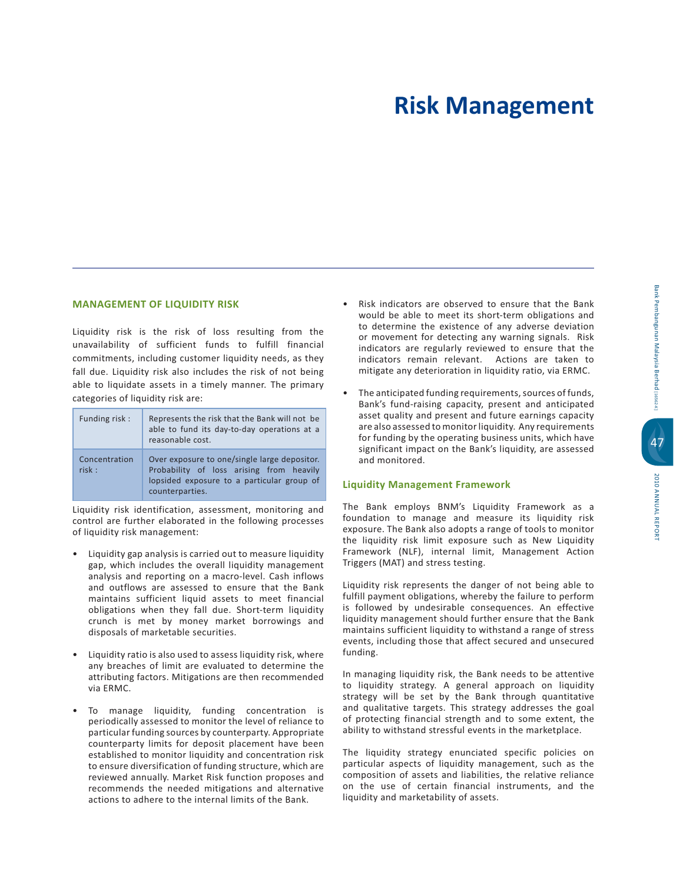# 2010 ANNUAL REPORT 2010 ANNUAL REPORT

### **MANAGEMENT OF LIQUIDITY RISK**

Liquidity risk is the risk of loss resulting from the unavailability of sufficient funds to fulfill financial commitments, including customer liquidity needs, as they fall due. Liquidity risk also includes the risk of not being able to liquidate assets in a timely manner. The primary categories of liquidity risk are:

| Funding risk:          | Represents the risk that the Bank will not be<br>able to fund its day-to-day operations at a<br>reasonable cost.                                          |
|------------------------|-----------------------------------------------------------------------------------------------------------------------------------------------------------|
| Concentration<br>risk: | Over exposure to one/single large depositor.<br>Probability of loss arising from heavily<br>lopsided exposure to a particular group of<br>counterparties. |

Liquidity risk identification, assessment, monitoring and control are further elaborated in the following processes of liquidity risk management:

- Liquidity gap analysis is carried out to measure liquidity gap, which includes the overall liquidity management analysis and reporting on a macro-level. Cash inflows and outflows are assessed to ensure that the Bank maintains sufficient liquid assets to meet financial obligations when they fall due. Short-term liquidity crunch is met by money market borrowings and disposals of marketable securities.
- Liquidity ratio is also used to assess liquidity risk, where any breaches of limit are evaluated to determine the attributing factors. Mitigations are then recommended via ERMC.
- . To manage liquidity, funding concentration is periodically assessed to monitor the level of reliance to particular funding sources by counterparty. Appropriate counterparty limits for deposit placement have been established to monitor liquidity and concentration risk to ensure diversification of funding structure, which are reviewed annually. Market Risk function proposes and recommends the needed mitigations and alternative actions to adhere to the internal limits of the Bank.
- Risk indicators are observed to ensure that the Bank would be able to meet its short-term obligations and to determine the existence of any adverse deviation or movement for detecting any warning signals. Risk indicators are regularly reviewed to ensure that the indicators remain relevant. Actions are taken to mitigate any deterioration in liquidity ratio, via ERMC.
- The anticipated funding requirements, sources of funds, Bank's fund-raising capacity, present and anticipated asset quality and present and future earnings capacity are also assessed to monitor liquidity. Any requirements for funding by the operating business units, which have significant impact on the Bank's liquidity, are assessed and monitored.

### **Liquidity Management Framework**

The Bank employs BNM's Liquidity Framework as a foundation to manage and measure its liquidity risk exposure. The Bank also adopts a range of tools to monitor the liquidity risk limit exposure such as New Liquidity Framework (NLF), internal limit, Management Action Triggers (MAT) and stress testing.

Liquidity risk represents the danger of not being able to fulfill payment obligations, whereby the failure to perform is followed by undesirable consequences. An effective liquidity management should further ensure that the Bank maintains sufficient liquidity to withstand a range of stress events, including those that affect secured and unsecured funding.

In managing liquidity risk, the Bank needs to be attentive to liquidity strategy. A general approach on liquidity strategy will be set by the Bank through quantitative and qualitative targets. This strategy addresses the goal of protecting financial strength and to some extent, the ability to withstand stressful events in the marketplace.

The liquidity strategy enunciated specific policies on particular aspects of liquidity management, such as the composition of assets and liabilities, the relative reliance on the use of certain financial instruments, and the liquidity and marketability of assets.